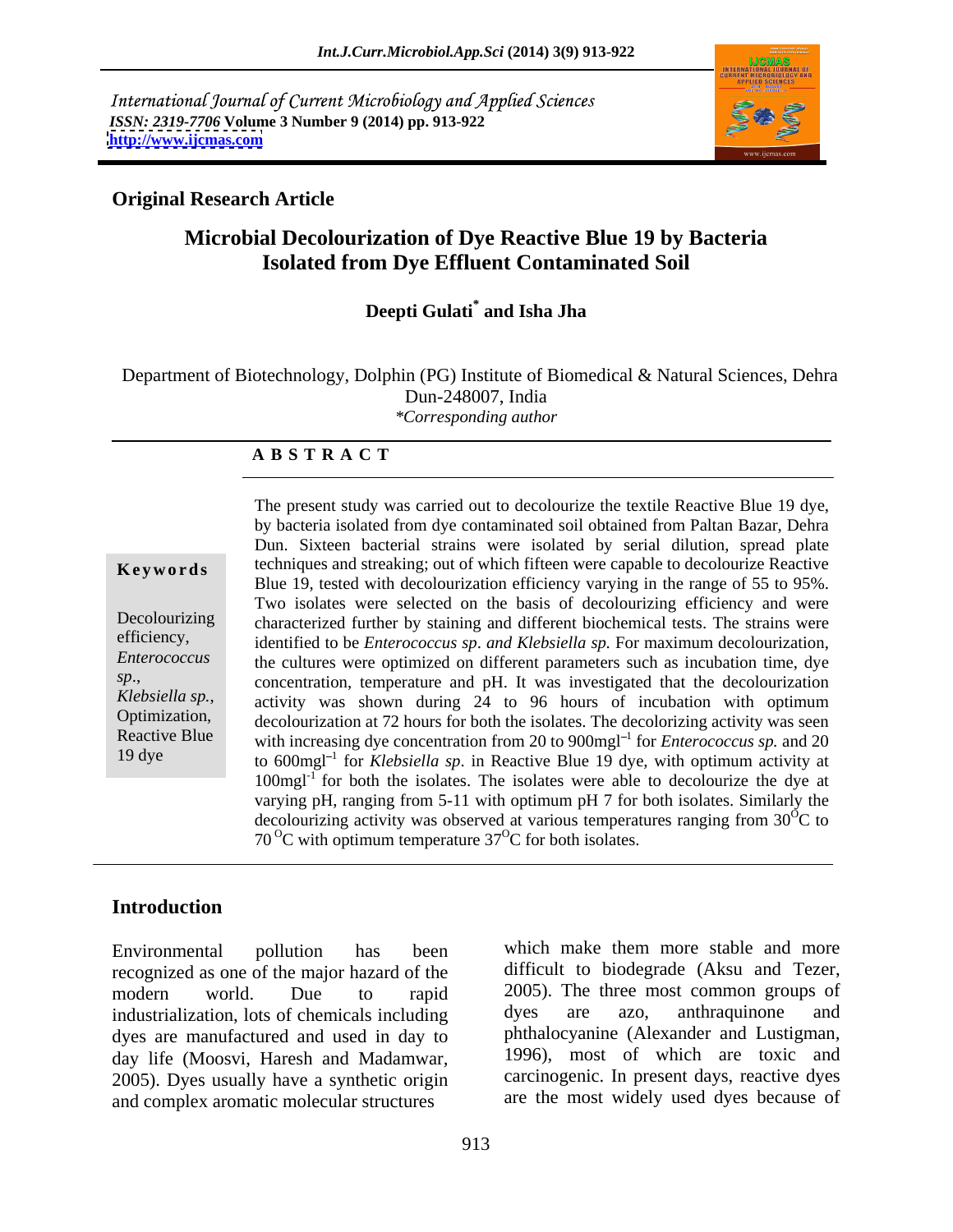International Journal of Current Microbiology and Applied Sciences *ISSN: 2319-7706* **Volume 3 Number 9 (2014) pp. 913-922 <http://www.ijcmas.com>**



### **Original Research Article**

## **Microbial Decolourization of Dye Reactive Blue 19 by Bacteria Isolated from Dye Effluent Contaminated Soil**

#### **Deepti Gulati\* and Isha Jha**

 Department of Biotechnology, Dolphin (PG) Institute of Biomedical & Natural Sciences, Dehra Dun-248007, India *\*Corresponding author*

#### **A B S T R A C T**

*sp*.,

**Keywords** techniques and streaking; out of which fifteen were capable to decolourize Reactive Decolourizing characterized further by staining and different biochemical tests. The strains were efficiency, identified to be *Enterococcus sp*. *and Klebsiella sp.* For maximum decolourization, *Enterococcus*  the cultures were optimized on different parameters such as incubation time, dye *Klebsiella sp.*, activity was shown during 24 to 96 hours of incubation with optimum decolourization at 72 hours for both the isolates. The decolorizing activity was seen Reactive Blue  $\frac{1}{2}$  with increasing dye concentration from 20 to 900mgl<sup>-1</sup> for *Enterococcus sp.* and 20 19 dye to  $600$ mgl<sup>-1</sup> for *Klebsiella sp.* in Reactive Blue 19 dye, with optimum activity at The present study was carried out to decolourize the textile Reactive Blue 19 dye, by bacteria isolated from dye contaminated soil obtained from Paltan Bazar, Dehra Dun. Sixteen bacterial strains were isolated by serial dilution, spread plate Blue 19, tested with decolourization efficiency varying in the range of 55 to 95%. Two isolates were selected on the basis of decolourizing efficiency and were concentration, temperature and pH. It was investigated that the decolourization decolourization at 72 hours for both the isolates. The decolorizing activity was seen  $100$ mgl<sup>-1</sup> for both the isolates. The isolates were able to decolourize the dye at varying pH, ranging from 5-11 with optimum pH 7 for both isolates. Similarly the decolourizing activity was observed at various temperatures ranging from  $30^{\circ}$ C to C to  $70^{\circ}$ C with optimum temperature 37 $^{\circ}$ C for both isolates.

#### **Introduction**

recognized as one of the major hazard of the industrialization, lots of chemicals including dyes are azo, anthraquinone and dyes are manufactured and used in day to day life (Moosvi, Haresh and Madamwar*,* 2005). Dyes usually have a synthetic origin and complex aromatic molecular structures

Environmental pollution has been which make them more stable and more modern world. Due to rapid 2005). The three most common groups of difficult to biodegrade (Aksu and Tezer, dyes are azo, anthraquinone and phthalocyanine (Alexander and Lustigman*,* 1996), most of which are toxic and carcinogenic. In present days, reactive dyes are the most widely used dyes because of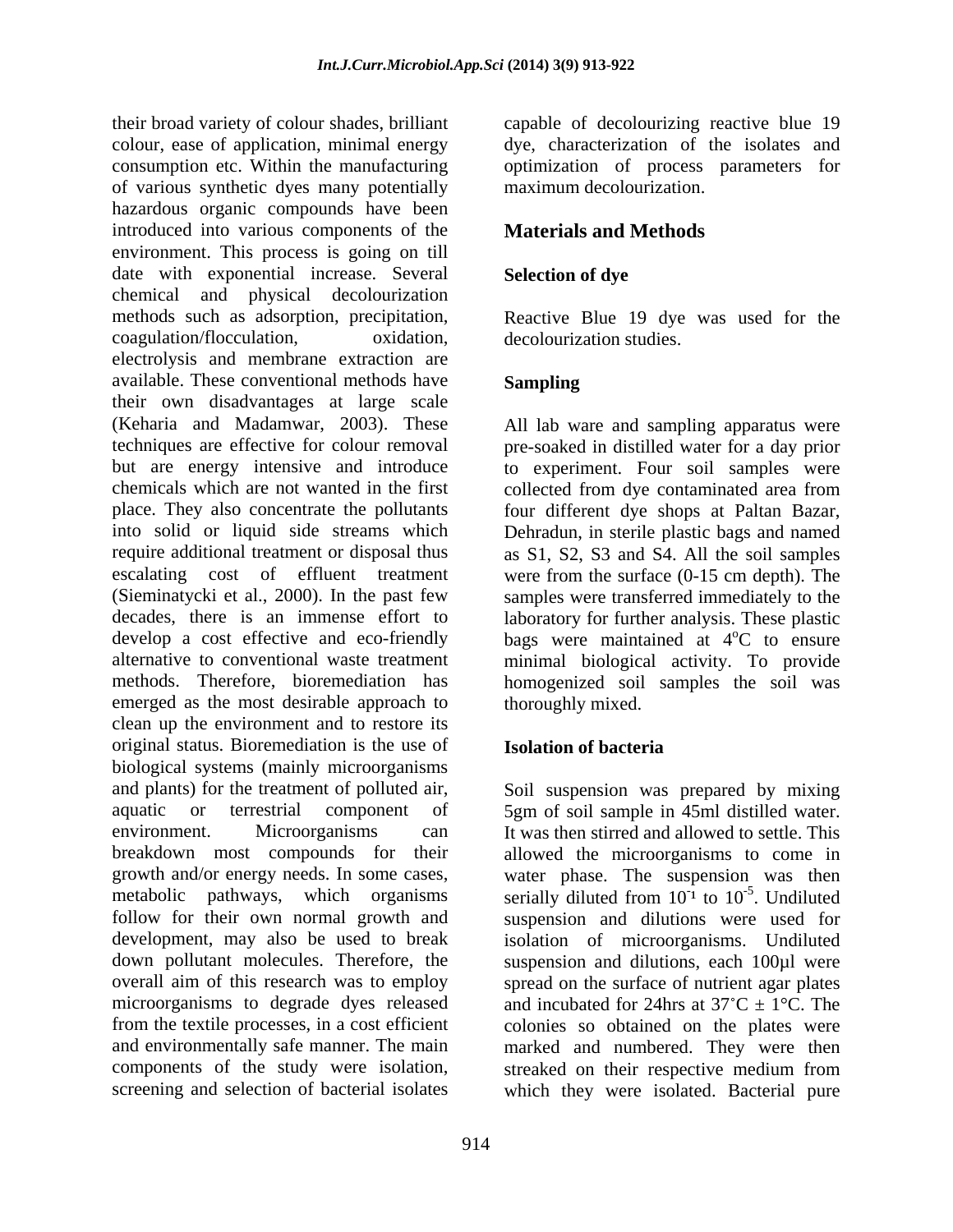their broad variety of colour shades, brilliant capable of decolourizing reactive blue 19 colour, ease of application, minimal energy dye, characterization of the isolates and consumption etc. Within the manufacturing of various synthetic dyes many potentially hazardous organic compounds have been introduced into various components of the environment. This process is going on till date with exponential increase. Several Selection of dye chemical and physical decolourization methods such as adsorption, precipitation, Reactive Blue 19 dye was used for the coagulation/flocculation, oxidation, electrolysis and membrane extraction are available. These conventional methods have their own disadvantages at large scale (Keharia and Madamwar, 2003). These techniques are effective for colour removal pre-soaked in distilled water for aday prior but are energy intensive and introduce to experiment. Four soil samples were chemicals which are not wanted in the first collected from dye contaminated area from place. They also concentrate the pollutants four different dye shops at Paltan Bazar, into solid or liquid side streams which Dehradun, in sterile plastic bags and named require additional treatment or disposal thus as S1, S2, S3 and S4. All the soil samples escalating cost of effluent treatment were from the surface (0-15 cm depth). The (Sieminatycki et al., 2000). In the past few decades, there is an immense effort to laboratory for further analysis. These plastic develop a cost effective and eco-friendly bags were maintained at 4<sup>o</sup>C to ensure alternative to conventional waste treatment minimal biological activity. To provide methods. Therefore, bioremediation has homogenized soil samples the soil was emerged as the most desirable approach to clean up the environment and to restore its original status. Bioremediation is the use of biological systems (mainly microorganisms and plants) for the treatment of polluted air, Soil suspension was prepared by mixing aquatic or terrestrial component of 5gm of soil sample in 45ml distilled water. environment. Microorganisms can It was then stirred and allowed to settle. This breakdown most compounds for their allowed the microorganisms to come in growth and/or energy needs. In some cases, water phase. The suspension was then metabolic pathways, which organisms serially diluted from  $10^{-1}$  to  $10^{-5}$ . Undiluted follow for their own normal growth and suspension and dilutions were used for development, may also be used to break isolation of microorganisms. Undiluted down pollutant molecules. Therefore, the suspension and dilutions, each 100µl were overall aim of this research was to employ spread on the surface of nutrient agar plates microorganisms to degrade dyes released and incubated for 24hrs at  $37^{\circ}$ C  $\pm$  1°C. The from the textile processes, in a cost efficient colonies so obtained on the plates were and environmentally safe manner. The main marked and numbered. They were then components of the study were isolation, streaked on their respective medium from

optimization of process parameters for maximum decolourization.

### **Materials and Methods**

### **Selection of dye**

decolourization studies.

### **Sampling**

All lab ware and sampling apparatus were samples were transferred immediately to the  $\rm{^{\circ}C}$  to ensure thoroughly mixed.

### **Isolation of bacteria**

screening and selection of bacterial isolates which they were isolated. Bacterial pure<sup>1</sup> to  $10^{-5}$ . Undiluted  $-5$  Undibited . Undiluted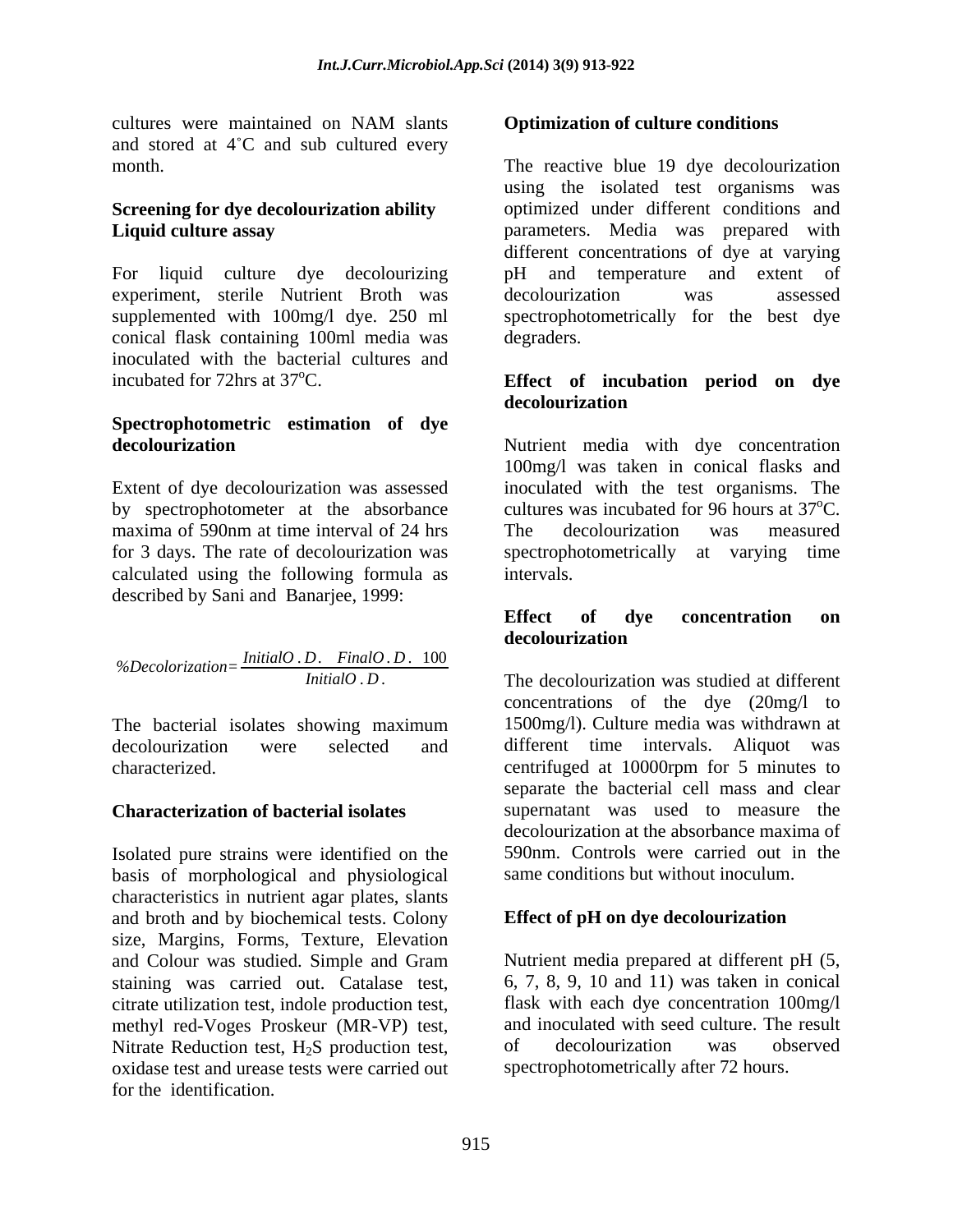cultures were maintained on NAM slants **Optimization of culture conditions** and stored at  $4^{\circ}$ C and sub cultured every

For liquid culture dye decolourizing experiment, sterile Nutrient Broth was decolourization was assessed conical flask containing 100ml media was inoculated with the bacterial cultures and incubated for 72hrs at 37<sup>o</sup>C. **Effect of incubation period on dye** 

# **Spectrophotometric estimation of dye**

calculated using the following formula as described by Sani and Banarjee, 1999:

*%Decolorization= InitialO* . *<sup>D</sup>*. *FinalO* . *<sup>D</sup>* . <sup>100</sup>

The bacterial isolates showing maximum

#### **Characterization of bacterial isolates**

Isolated pure strains were identified on the basis of morphological and physiological characteristics in nutrient agar plates, slants and broth and by biochemical tests. Colony size, Margins, Forms, Texture, Elevation and Colour was studied. Simple and Gram staining was carried out. Catalase test, citrate utilization test, indole production test, methyl red-Voges Proskeur (MR-VP) test, and inoculated with seed culture. The result<br>Nitrate Reduction test, H<sub>2</sub>S production test, of decolourization was observed Nitrate Reduction test,  $H_2S$  production test, of oxidase test and urease tests were carried out for the identification.

#### **Optimization of culture conditions**

month. The reactive blue 19 dye decolourization **Screening for dye decolourization ability** optimized under different conditions and **Liquid culture assay** parameters. Media was prepared with supplemented with 100mg/l dye. 250 ml spectrophotometrically for the best dye using the isolated test organisms was different concentrations of dye at varying and temperature and extent of decolourization was assessed degraders.

## **decolourization**

**decolourization** Nutrient media with dye concentration Extent of dye decolourization was assessed inoculated with the test organisms. The by spectrophotometer at the absorbance cultures was incubated for 96 hours at  $37^{\circ}$ C. maxima of 590nm at time interval of 24 hrs The decolourization was measured for 3 days. The rate of decolourization was spectrophotometrically at varying time 100mg/l was taken in conical flasks and  $\rm{^0C}$ . The decolourization was measured intervals.

#### **Effect of dye concentration on decolourization**

*InitialO* . *D* . The decolourization was studied at different decolourization were selected and different time intervals. Aliquot was characterized. centrifuged at 10000rpm for 5 minutes to concentrations of the dye (20mg/l to 1500mg/l). Culture media was withdrawn at separate the bacterial cell mass and clear supernatant was used to measure the decolourization at the absorbance maxima of 590nm. Controls were carried out in the same conditions but without inoculum.

### **Effect of pH on dye decolourization**

Nutrient media prepared at different pH (5, 6, 7, 8, 9, 10 and 11) was taken in conical flask with each dye concentration 100mg/l and inoculated with seed culture. The result of decolourization was observed spectrophotometrically after 72 hours.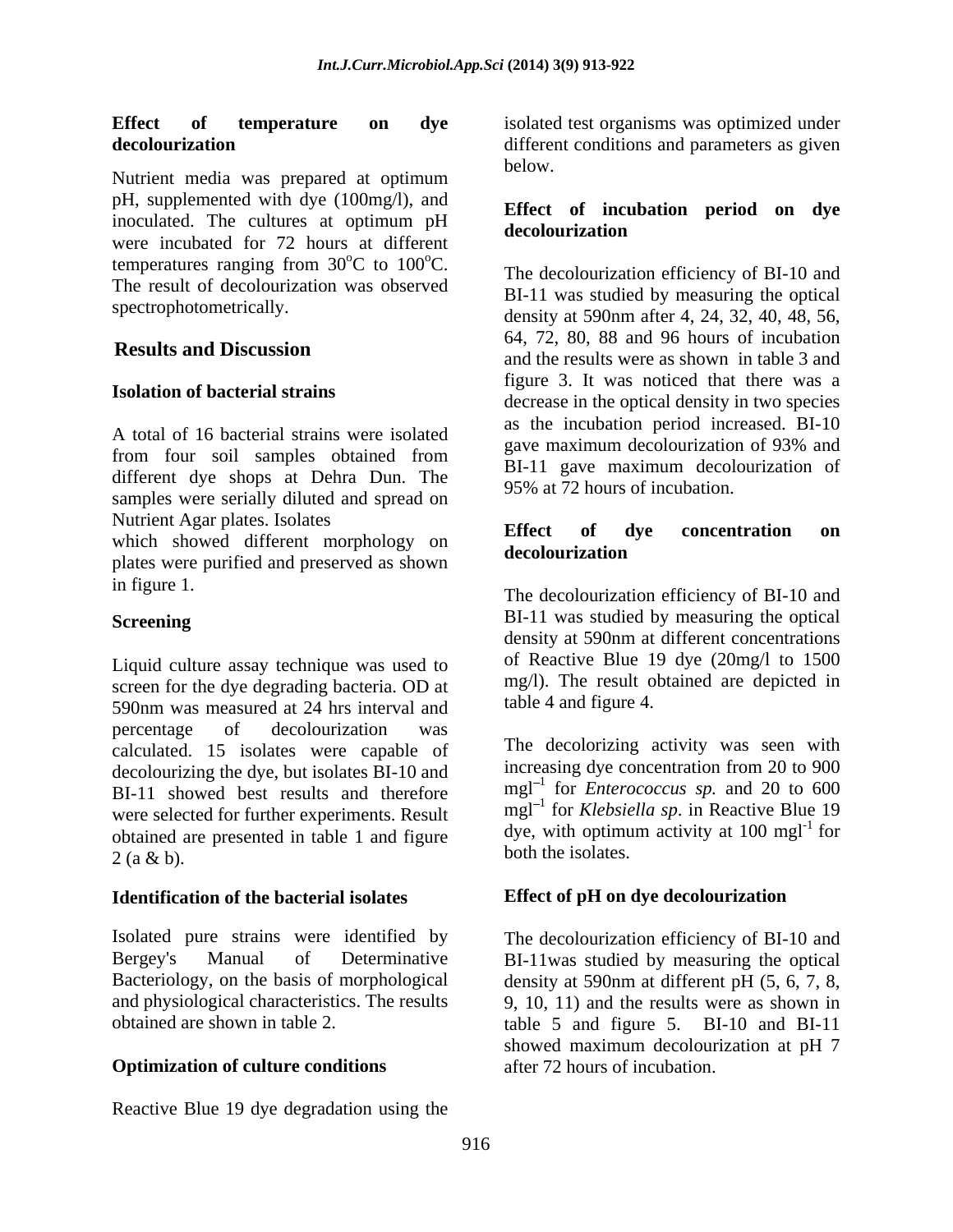Nutrient media was prepared at optimum pH, supplemented with dye (100mg/l), and inoculated. The cultures at optimum pH were incubated for 72 hours at different temperatures ranging from  $30^{\circ}$ C to  $100^{\circ}$ C. The result of decolourization was observed

A total of 16 bacterial strains were isolated<br>gave maximum decolourization of 93% and different dye shops at Dehra Dun. The samples were serially diluted and spread on Nutrient Agar plates. Isolates<br> **Effect** of dye concentration on

which showed different morphology on **Elect** of the decolourization plates were purified and preserved as shown

Liquid culture assay technique was used to screen for the dye degrading bacteria. OD at 590nm was measured at 24 hrs interval and percentage of decolourization was calculated. 15 isolates were capable of decolourizing the dye, but isolates BI-10 and BI-11 showed best results and therefore were selected for further experiments. Result obtained are presented in table 1 and figure  $2(a \& b)$ .

#### **Identification of the bacterial isolates**

### **Optimization of culture conditions**

Reactive Blue 19 dye degradation using the

**Effect of temperature on dye** isolated test organisms was optimized under **decolourization** different conditions and parameters as given below.

#### **Effect of incubation period on dye decolourization**

 $\rm{^{\circ}C}$  to 100 $\rm{^{\circ}C}$ . The decolourization efficiency of RI 10 and  ${}^{\circ}C$ . The decolourization efficiency of BI-10 and spectrophotometrically.<br>density at 590nm after 4, 24, 32, 40, 48, 56, **Results and Discussion** and the results were as shown in table 3 and **Isolation of bacterial strains**<br>decrease in the optical density in two species from four soil samples obtained from  $\frac{g_{\text{av}}}{PL}$  and  $\frac{1}{2}$  and  $\frac{1}{2}$  and  $\frac{1}{2}$  and  $\frac{1}{2}$  and  $\frac{1}{2}$  and  $\frac{1}{2}$  and  $\frac{1}{2}$  and  $\frac{1}{2}$  and  $\frac{1}{2}$  and  $\frac{1}{2}$  and  $\frac{1}{2}$  and  $\frac{1}{2}$  a BI-11 was studied by measuring the optical 64, 72, 80, 88 and 96 hours of incubation figure 3. It was noticed that there was a as the incubation period increased. BI-10 gave maximum decolourization of 93% and BI-11 gave maximum decolourization of 95% at 72 hours of incubation.

#### **Effect of dye concentration on decolourization**

in figure 1. The decolourization efficiency of BI-10 and **Screening** BI-11 was studied by measuring the optical density at 590nm at different concentrations of Reactive Blue 19 dye (20mg/l to 1500 mg/l). The result obtained are depicted in table 4 and figure 4.

> The decolorizing activity was seen with increasing dye concentration from 20 to 900  $mgl^{-1}$  for *Enterococcus sp.* and 20 to 600 mgl<sup>-1</sup> for *Klebsiella sp.* in Reactive Blue 19 dye, with optimum activity at 100 mg $1^{-1}$  for both the isolates.

### **Effect of pH on dye decolourization**

Isolated pure strains were identified by The decolourization efficiency of BI-10 and Bergey's Manual of Determinative BI-11was studied by measuring the optical Bacteriology, on the basis of morphological density at 590nm at different pH (5, 6, 7, 8, and physiological characteristics. The results 9, 10, 11) and the results were as shown in obtained are shown in table 2. table 5 and figure 5. BI-10 and BI-11 showed maximum decolourization at pH 7 after 72 hours of incubation.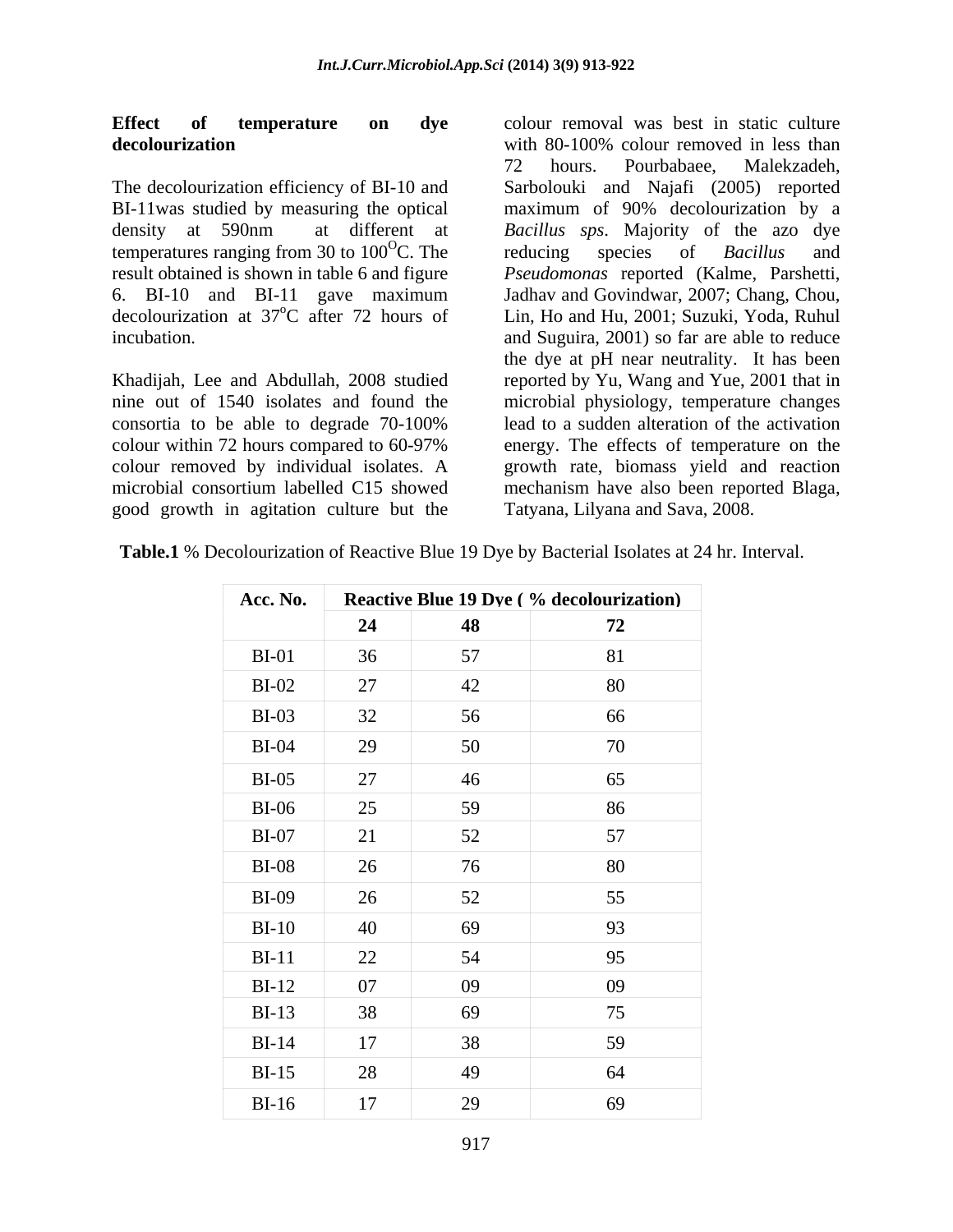#### **Effect of temperature on dye** colour removal was best in static culture **decolourization decolourization decolourization decolourization**

consortia to be able to degrade 70-100% good growth in agitation culture but the

The decolourization efficiency of BI-10 and Sarbolouki and Najafi (2005) reported BI-11was studied by measuring the optical maximum of 90% decolourization by a density at 590nm at different at *Bacillus sps*. Majority of the azo dye temperatures ranging from 30 to  $100^{\circ}$ C. The reducing species of *Bacillus* and C. The reducing species of *Bacillus* and result obtained is shown in table 6 and figure *Pseudomonas* reported (Kalme, Parshetti, 6. BI-10 and BI-11 gave maximum Jadhav and Govindwar, 2007; Chang, Chou, decolourization at 37<sup>o</sup>C after 72 hours of Lin, Ho and Hu, 2001; Suzuki, Yoda, Ruhul incubation. and Suguira, 2001) so far are able to reduce Khadijah, Lee and Abdullah, 2008 studied reported by Yu, Wang and Yue, 2001 that in nine out of 1540 isolates and found the microbial physiology, temperature changes colour within 72 hours compared to 60-97% energy. The effects of temperature on the colour removed by individual isolates.A growth rate, biomass yield and reaction microbial consortium labelled C15 showed mechanism have also been reported Blaga, with 80-100% colour removed in less than 72 hours. Pourbabaee, Malekzadeh, reducing species of *Bacillus* and the dye at pH near neutrality. It has been lead to a sudden alteration of the activation Tatyana, Lilyana and Sava, 2008.

**Table.1** % Decolourization of Reactive Blue 19 Dye by Bacterial Isolates at 24 hr. Interval.

| Acc. No.     |    |    | <b>Reactive Blue 19 Dve (% decolourization)</b> |
|--------------|----|----|-------------------------------------------------|
|              | 24 | 48 | 72                                              |
| $BI-01$      | 36 | 57 | 81                                              |
| $BI-02$      | 27 | 42 | 80                                              |
| $BI-03$      | 32 | 56 | 66                                              |
| $BI-04$      | 29 | 50 | 70                                              |
| $BI-05$      | 27 | 46 | 65                                              |
| <b>BI-06</b> | 25 | 59 | 86                                              |
| $BI-07$      | 21 | 52 | 57                                              |
| $BI-08$      | 26 | 76 | 80                                              |
| $BI-09$      | 26 | 52 | 55                                              |
| $BI-10$      | 40 | 69 | 93                                              |
| $BI-11$      | 22 | 54 | 95                                              |
| $BI-12$      | 07 | 09 | 09                                              |
| $BI-13$      | 38 | 69 | 75                                              |
| $BI-14$      | 17 | 38 | 59                                              |
| $BI-15$      | 28 | 49 | 64                                              |
| $BI-16$      | 17 | 29 | 69                                              |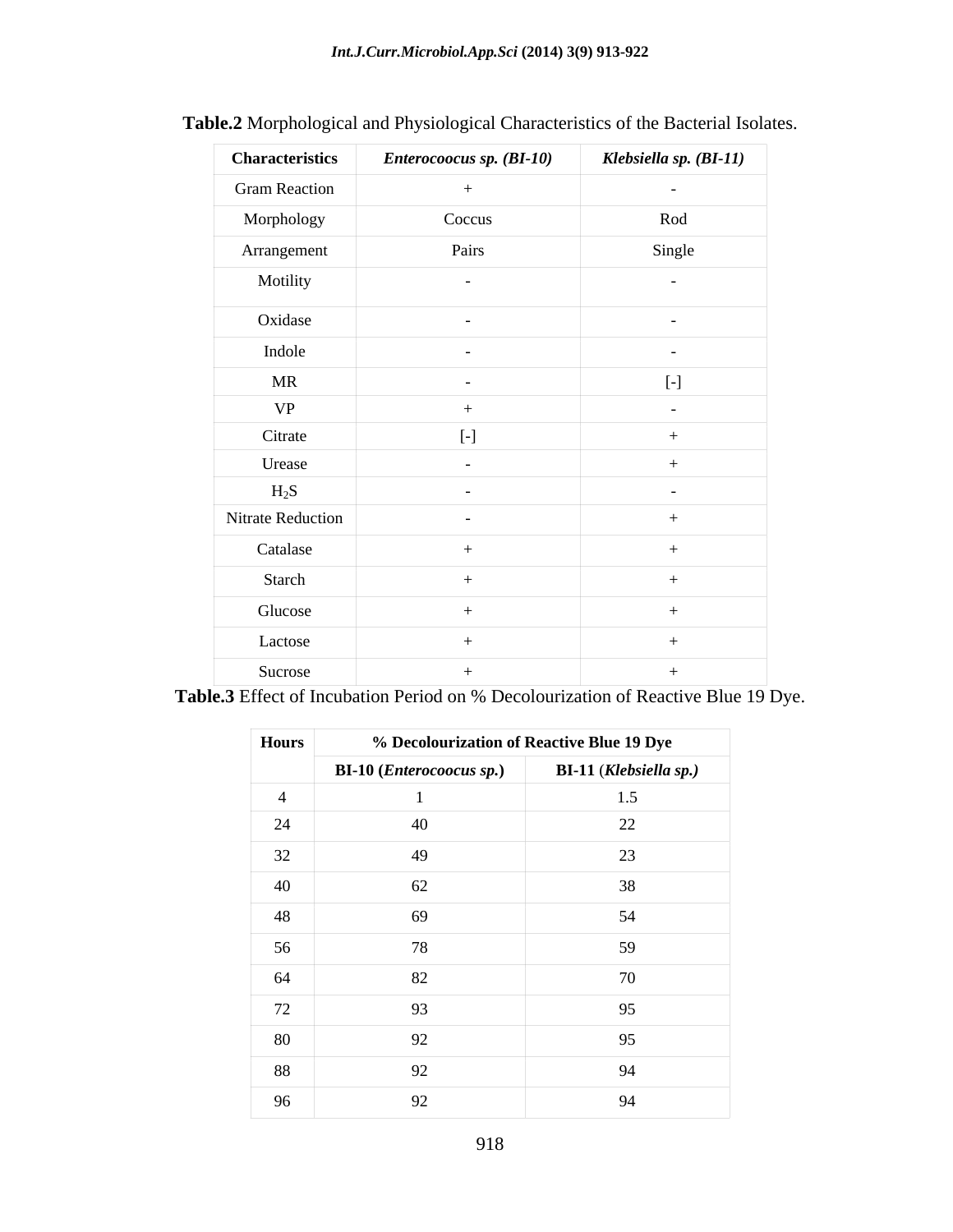| <b>Characteristics</b> | Enterocoocus sp. (BI-10) | Klebsiella sp. (BI-11)                                                                                                                                                                                                                                                                                                           |
|------------------------|--------------------------|----------------------------------------------------------------------------------------------------------------------------------------------------------------------------------------------------------------------------------------------------------------------------------------------------------------------------------|
| <b>Gram Reaction</b>   | $+$                      | $\sim$                                                                                                                                                                                                                                                                                                                           |
| Morphology             | Coccus                   | Rod                                                                                                                                                                                                                                                                                                                              |
| Arrangement            | Pairs                    | Single                                                                                                                                                                                                                                                                                                                           |
| Motility               | $\sim$ $-$               | $\sim$ $ \sim$                                                                                                                                                                                                                                                                                                                   |
| Oxidase                | $\sim$                   | $\sim$ $-$                                                                                                                                                                                                                                                                                                                       |
| Indole                 | $\sim$                   | $\sim$ $-$                                                                                                                                                                                                                                                                                                                       |
| MR                     | $\sim$ $-$               | $\left[ -\right] % \mbox{\v{12.5}}% \mbox{\v{13.5}}% \mbox{\v{13.5}}% \mbox{\v{13.5}}% \mbox{\v{13.5}}% \mbox{\v{13.5}}% \mbox{\v{13.5}}% \mbox{\v{13.5}}% \mbox{\v{13.5}}% \mbox{\v{13.5}}% \mbox{\v{13.5}}% \mbox{\v{13.5}}% \mbox{\v{13.5}}% \mbox{\v{13.5}}% \mbox{\v{13.5}}% \mbox{\v{13.5}}% \mbox{\v{13.5}}% \mbox{\v{13$ |
| <b>VP</b>              | $+$                      | $\sim$ $-$                                                                                                                                                                                                                                                                                                                       |
| Citrate                | $[-]$                    | $^{+}$                                                                                                                                                                                                                                                                                                                           |
| Urease                 | $\sim$ $-$               | $+$                                                                                                                                                                                                                                                                                                                              |
| $H_2S$                 | $\sim$ $-$               | $\sim$                                                                                                                                                                                                                                                                                                                           |
| Nitrate Reduction      | $\sim$                   | $+$                                                                                                                                                                                                                                                                                                                              |
| Catalase               | $+$                      |                                                                                                                                                                                                                                                                                                                                  |
| Starch                 | $+$                      |                                                                                                                                                                                                                                                                                                                                  |
| Glucose                | $+$                      |                                                                                                                                                                                                                                                                                                                                  |
| Lactose                | $+$                      | $+$                                                                                                                                                                                                                                                                                                                              |
| Sucrose                | $+$                      |                                                                                                                                                                                                                                                                                                                                  |

|  | <b>Table.2</b> Morphological and Physiological Characteristics of the Bacterial Isolates. |  |  |  |
|--|-------------------------------------------------------------------------------------------|--|--|--|
|  |                                                                                           |  |  |  |

**Table.3** Effect of Incubation Period on % Decolourization of Reactive Blue 19 Dye.

| Hours | % Decolourization of Reactive Blue 19 Dye |                               |
|-------|-------------------------------------------|-------------------------------|
|       | <b>BI-10 (Enterocoocus sp.)</b>           | <b>BI-11 (Klebsiella sp.)</b> |
|       |                                           | 1.5                           |
| 24    | 40                                        | 22                            |
| 32    | 49                                        | 23                            |
| 40    | 62                                        | 38                            |
| 48    | 69                                        | 54                            |
| 56    | 78                                        | 59                            |
| 64    | 82                                        | 70                            |
| 72    | 93                                        | 95                            |
| 80    | 92                                        | 95                            |
| 88    | 92                                        | 94                            |
| 96    | 92                                        | 94                            |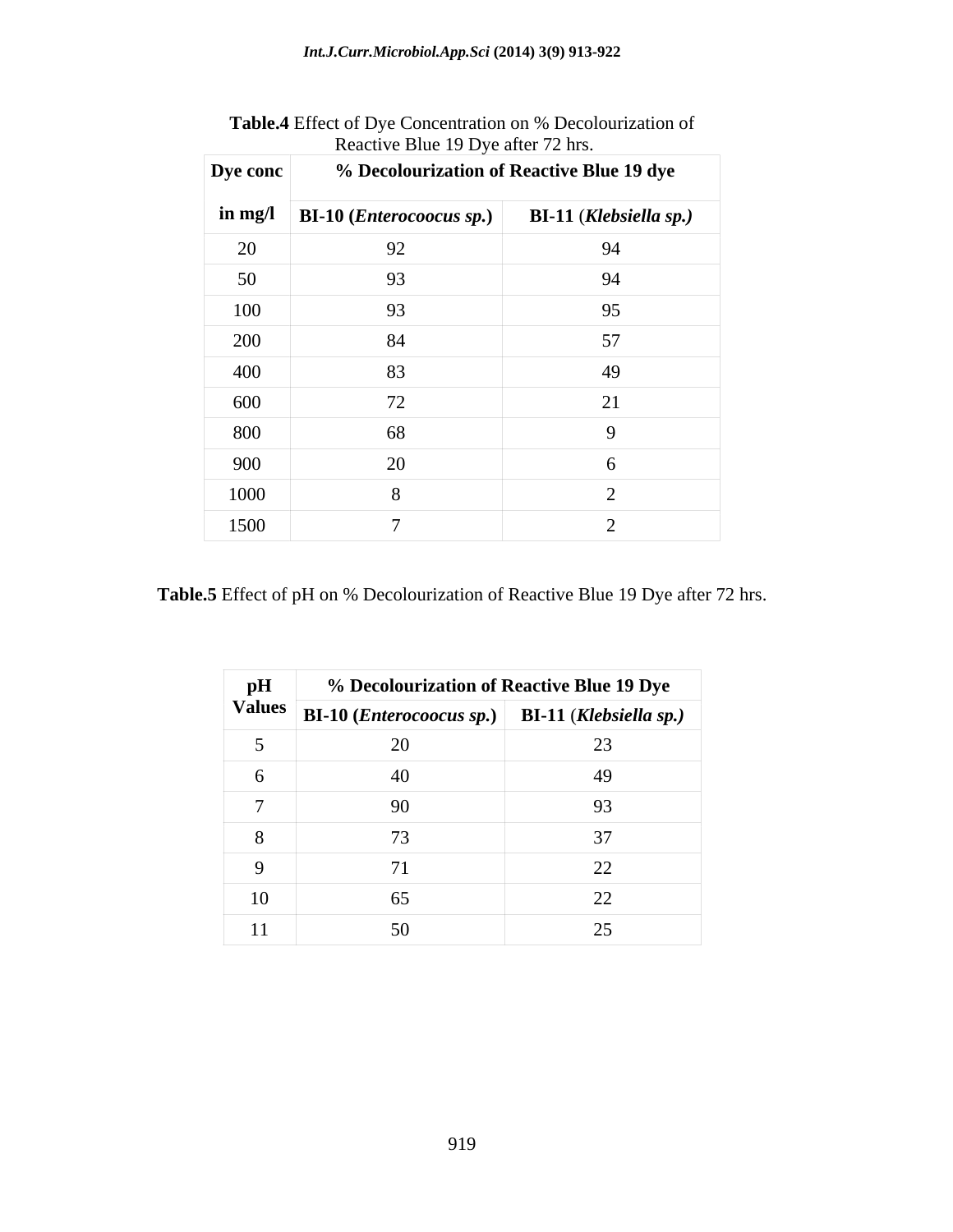| Dye conc       | % Decolourization of Reactive Blue 19 dye         |                               |
|----------------|---------------------------------------------------|-------------------------------|
| $\int$ in mg/l | $\vert$ BI-10 ( <i>Enterocoocus sp.</i> ) $\vert$ | <b>BI-11 (Klebsiella sp.)</b> |
| 20             | 92                                                | 94                            |
| 50             | 93                                                | 94                            |
| 100            | 93                                                | 95                            |
| 200            | 84                                                | 57                            |
| 400            | 83                                                | 49                            |
| 600            | 72                                                | 21                            |
| 800            | 68                                                | $\Omega$                      |
| 900            | 20                                                |                               |
| 1000           |                                                   |                               |
| 1500           |                                                   |                               |

**Table.4** Effect of Dye Concentration on % Decolourization of Reactive Blue 19 Dye after 72 hrs.

**Table.5** Effect of pH on % Decolourization of Reactive Blue 19 Dye after 72 hrs.

| pH | % Decolourization of Reactive Blue 19 Dye                                                                                                                              |        |
|----|------------------------------------------------------------------------------------------------------------------------------------------------------------------------|--------|
|    | $\begin{array}{ c c c c c c }\hline \textbf{Values} & \textbf{BI-10} & \textbf{(Enterococous sp.)} & \textbf{BI-11} & \textbf{(Klebsiella sp.)} \\ \hline \end{array}$ |        |
|    | 20                                                                                                                                                                     | 23     |
|    | 40                                                                                                                                                                     | 49     |
|    | 90                                                                                                                                                                     | 93     |
|    | 73                                                                                                                                                                     | $\sim$ |
|    |                                                                                                                                                                        | 22     |
| 10 | 65                                                                                                                                                                     | 22     |
|    | 50                                                                                                                                                                     | 25     |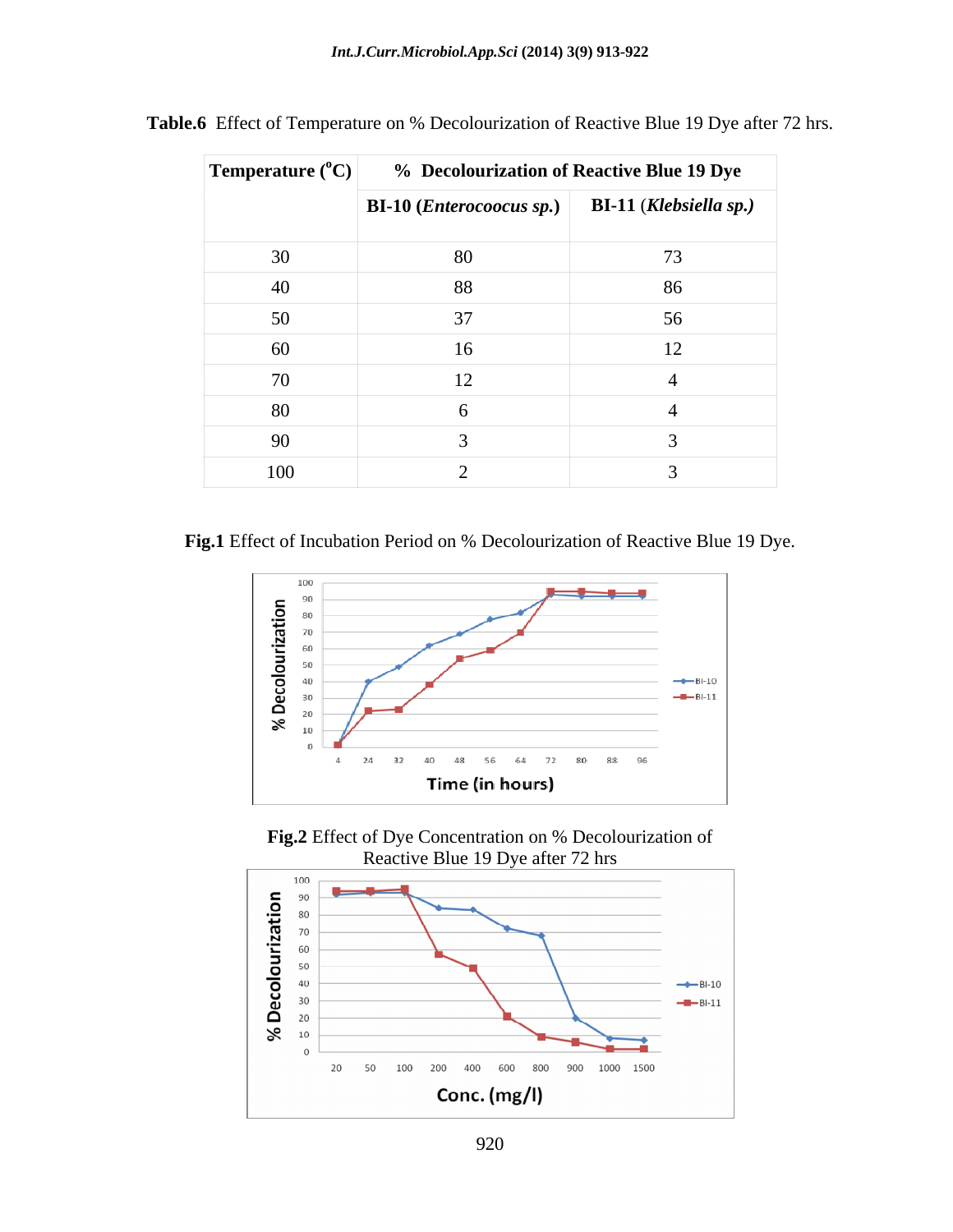| Temperature $({}^{\circ}C)$ | % Decolourization of Reactive Blue 19 Dye |                               |
|-----------------------------|-------------------------------------------|-------------------------------|
|                             | <b>BI-10</b> ( <i>Enterocoocus sp.</i> )  | <b>BI-11 (Klebsiella sp.)</b> |
| 30                          | 80                                        | 73                            |
| 40                          | 88                                        | 86                            |
| 50                          | 37                                        | 56                            |
| 60                          | 16                                        | $\sim$                        |
| 70                          | 12                                        |                               |
| 80                          |                                           |                               |
| 90                          |                                           |                               |
| 100                         |                                           |                               |

**Table.6** Effect of Temperature on % Decolourization of Reactive Blue 19 Dye after 72 hrs.

**Fig.1** Effect of Incubation Period on % Decolourization of Reactive Blue 19 Dye.





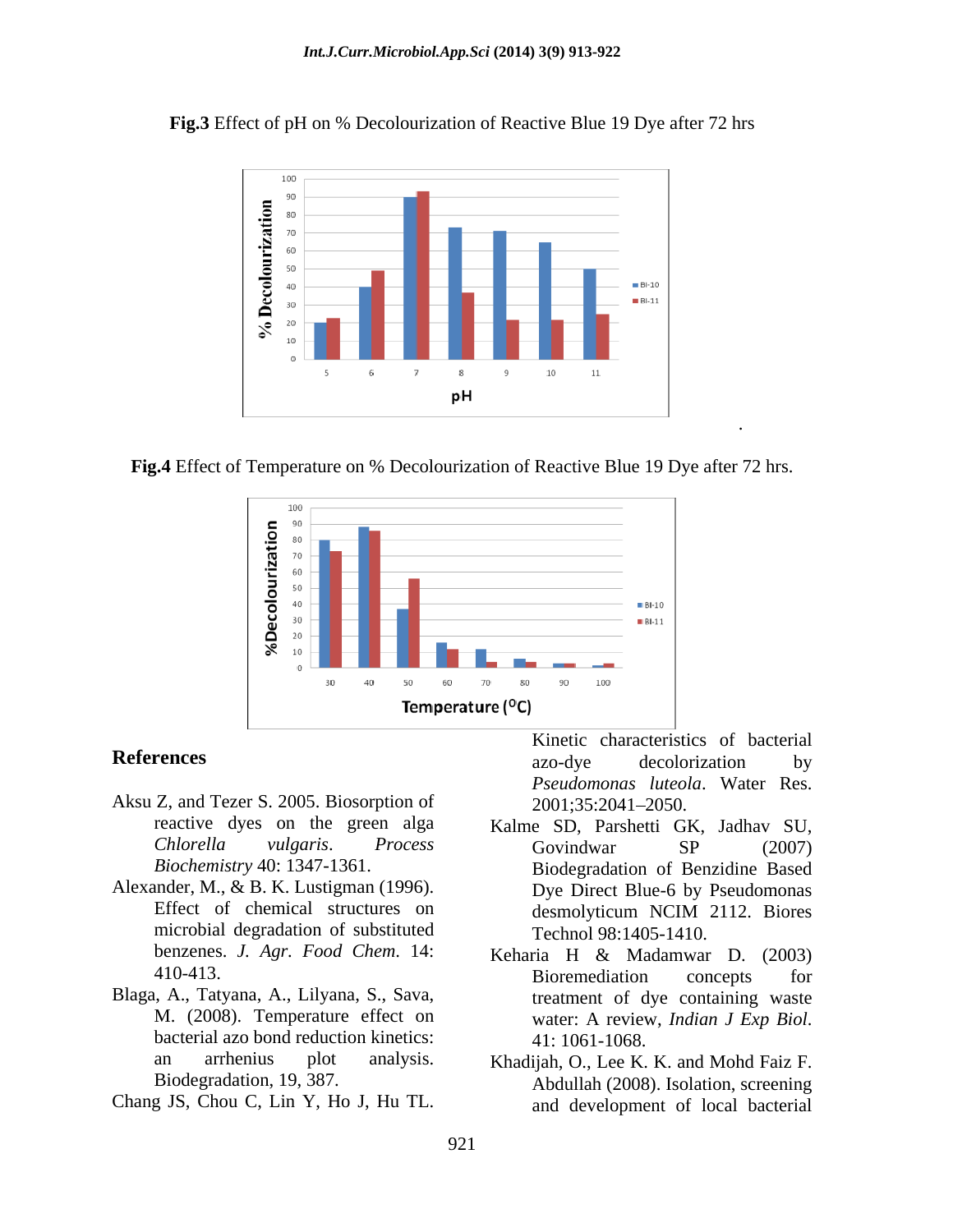**Fig.3** Effect of pH on % Decolourization of Reactive Blue 19 Dye after 72 hrs



**Fig.4** Effect of Temperature on % Decolourization of Reactive Blue 19 Dye after 72 hrs.



- Aksu Z, and Tezer S. 2005. Biosorption of
- Alexander, M., & B. K. Lustigman (1996). microbial degradation of substituted
- Blaga, A., Tatyana, A., Lilyana, S., Sava, bacterial azo bond reduction kinetics:  $41:1061-1068$ .
- 

**References** by a a subset of a subset of a secolorization by azo-dye decolorization by *Pseudomonas luteola*. Water Res. 2001;35:2041 2050.

.

- reactive dyes on the green alga Kalme SD, Parshetti GK, Jadhav SU, *Chlorella vulgaris*. *Process Biochemistry* 40: 1347-1361. Biodegradation of Benzidine Based Effect of chemical structures on desmolyticum NCIM 2112. Biores **References**<br> **Example 1988** Example decoloration by<br>
Aksu Z, and Tezer S. 2005. Biosorption of<br> *Pseudomonas luteda*. Water Res.<br>
reactive dyes on the green alga<br> **Example SD, Parshetti GK**, Jadhav SU,<br> *Chlorella vulgar* Govindwar SP (2007) Dye Direct Blue-6 by Pseudomonas desmolyticum NCIM 2112. Biores Technol 98:1405-1410.
	- benzenes. *J. Agr. Food Chem*. 14: Keharia H & Madamwar D. (2003) 410-413. Bioremediation concepts for M. (2008). Temperature effect on water: A review, *Indian J Exp Biol*. Bioremediation concepts for treatment of dye containing waste water: <sup>A</sup> review, *Indian <sup>J</sup> Exp Biol*. 41: 1061-1068.
	- an arrhenius plot analysis. Khadijah, O., Lee K. K. and Mohd Faiz F. Biodegradation, 19, 387. Abdullah (2008). Isolation, screening and development of local bacterial